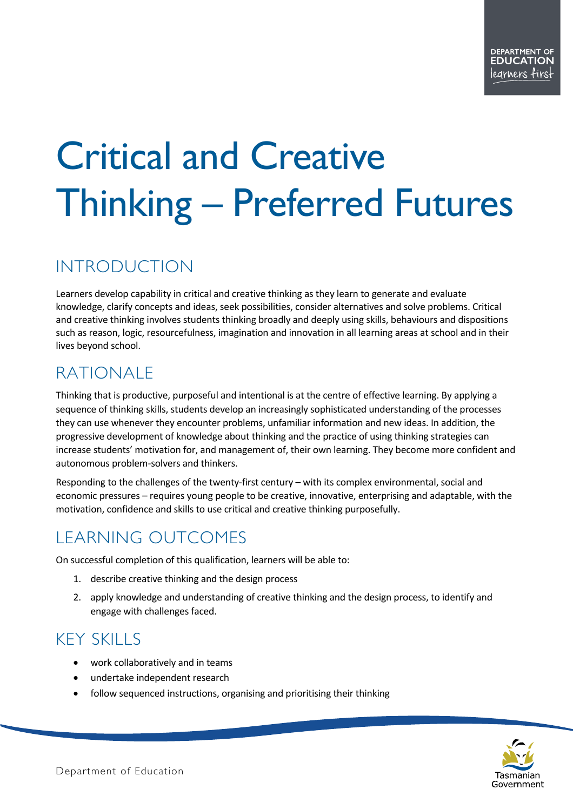# Critical and Creative Thinking – Preferred Futures

# INTRODUCTION

Learners develop capability in critical and creative thinking as they learn to generate and evaluate knowledge, clarify concepts and ideas, seek possibilities, consider alternatives and solve problems. Critical and creative thinking involves students thinking broadly and deeply using skills, behaviours and dispositions such as reason, logic, resourcefulness, imagination and innovation in all learning areas at school and in their lives beyond school.

# RATIONALE

Thinking that is productive, purposeful and intentional is at the centre of effective learning. By applying a sequence of thinking skills, students develop an increasingly sophisticated understanding of the processes they can use whenever they encounter problems, unfamiliar information and new ideas. In addition, the progressive development of knowledge about thinking and the practice of using thinking strategies can increase students' motivation for, and management of, their own learning. They become more confident and autonomous problem-solvers and thinkers.

Responding to the challenges of the twenty-first century – with its complex environmental, social and economic pressures – requires young people to be creative, innovative, enterprising and adaptable, with the motivation, confidence and skills to use critical and creative thinking purposefully.

# LEARNING OUTCOMES

On successful completion of this qualification, learners will be able to:

- 1. describe creative thinking and the design process
- 2. apply knowledge and understanding of creative thinking and the design process, to identify and engage with challenges faced.

# KEY SKILLS

- work collaboratively and in teams
- undertake independent research
- follow sequenced instructions, organising and prioritising their thinking

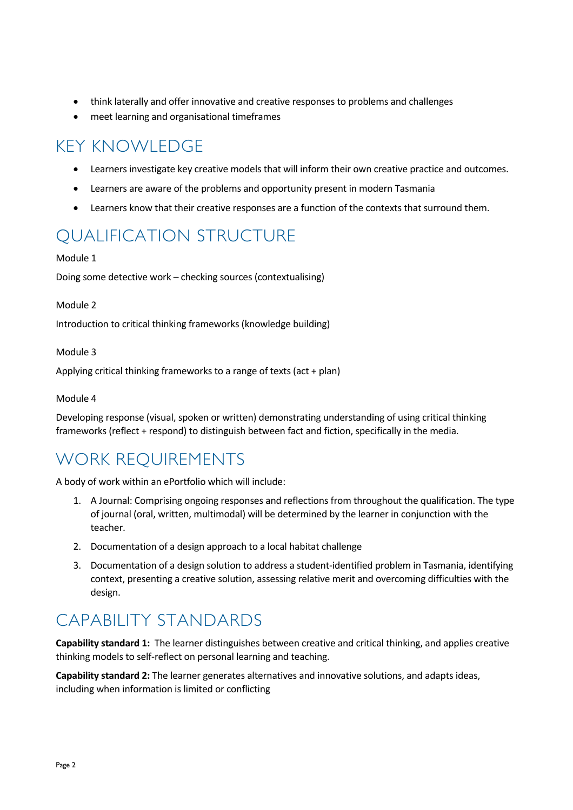- think laterally and offer innovative and creative responses to problems and challenges
- meet learning and organisational timeframes

### KEY KNOWLEDGE

- Learners investigate key creative models that will inform their own creative practice and outcomes.
- Learners are aware of the problems and opportunity present in modern Tasmania
- Learners know that their creative responses are a function of the contexts that surround them.

# QUALIFICATION STRUCTURE

#### Module 1

Doing some detective work – checking sources (contextualising)

#### Module 2

Introduction to critical thinking frameworks (knowledge building)

#### Module 3

Applying critical thinking frameworks to a range of texts (act + plan)

#### Module 4

Developing response (visual, spoken or written) demonstrating understanding of using critical thinking frameworks (reflect + respond) to distinguish between fact and fiction, specifically in the media.

### WORK REQUIREMENTS

A body of work within an ePortfolio which will include:

- 1. A Journal: Comprising ongoing responses and reflections from throughout the qualification. The type of journal (oral, written, multimodal) will be determined by the learner in conjunction with the teacher.
- 2. Documentation of a design approach to a local habitat challenge
- 3. Documentation of a design solution to address a student-identified problem in Tasmania, identifying context, presenting a creative solution, assessing relative merit and overcoming difficulties with the design.

### CAPABILITY STANDARDS

**Capability standard 1:** The learner distinguishes between creative and critical thinking, and applies creative thinking models to self-reflect on personal learning and teaching.

**Capability standard 2:** The learner generates alternatives and innovative solutions, and adapts ideas, including when information is limited or conflicting